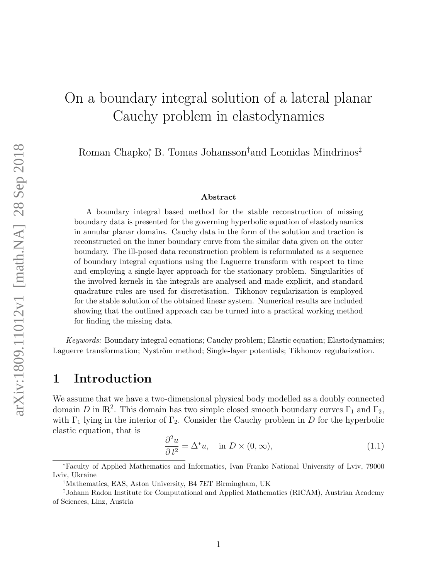# On a boundary integral solution of a lateral planar Cauchy problem in elastodynamics

Roman Chapko<sup>\*</sup>, B. Tomas Johansson<sup>†</sup>and Leonidas Mindrinos<sup>‡</sup>

#### Abstract

A boundary integral based method for the stable reconstruction of missing boundary data is presented for the governing hyperbolic equation of elastodynamics in annular planar domains. Cauchy data in the form of the solution and traction is reconstructed on the inner boundary curve from the similar data given on the outer boundary. The ill-posed data reconstruction problem is reformulated as a sequence of boundary integral equations using the Laguerre transform with respect to time and employing a single-layer approach for the stationary problem. Singularities of the involved kernels in the integrals are analysed and made explicit, and standard quadrature rules are used for discretisation. Tikhonov regularization is employed for the stable solution of the obtained linear system. Numerical results are included showing that the outlined approach can be turned into a practical working method for finding the missing data.

Keywords: Boundary integral equations; Cauchy problem; Elastic equation; Elastodynamics; Laguerre transformation; Nyström method; Single-layer potentials; Tikhonov regularization.

### 1 Introduction

We assume that we have a two-dimensional physical body modelled as a doubly connected domain D in  $\mathbb{R}^2$ . This domain has two simple closed smooth boundary curves  $\Gamma_1$  and  $\Gamma_2$ , with  $\Gamma_1$  lying in the interior of  $\Gamma_2$ . Consider the Cauchy problem in D for the hyperbolic elastic equation, that is

<span id="page-0-0"></span>
$$
\frac{\partial^2 u}{\partial t^2} = \Delta^* u, \quad \text{in } D \times (0, \infty), \tag{1.1}
$$

<sup>∗</sup>Faculty of Applied Mathematics and Informatics, Ivan Franko National University of Lviv, 79000 Lviv, Ukraine

<sup>†</sup>Mathematics, EAS, Aston University, B4 7ET Birmingham, UK

<sup>‡</sup>Johann Radon Institute for Computational and Applied Mathematics (RICAM), Austrian Academy of Sciences, Linz, Austria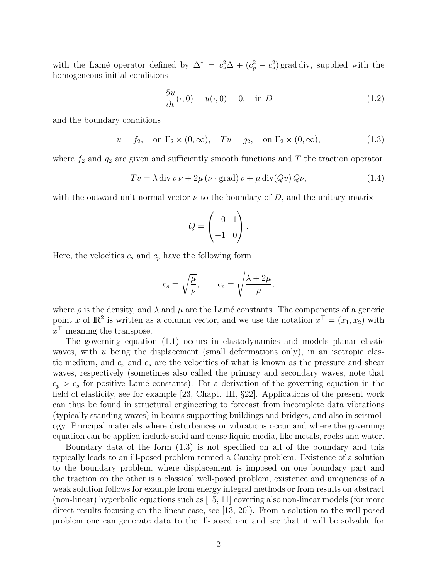with the Lamé operator defined by  $\Delta^* = c_s^2 \Delta + (c_p^2 - c_s^2)$  grad div, supplied with the homogeneous initial conditions

$$
\frac{\partial u}{\partial t}(\cdot,0) = u(\cdot,0) = 0, \quad \text{in } D \tag{1.2}
$$

and the boundary conditions

<span id="page-1-0"></span> $u = f_2, \text{ on } \Gamma_2 \times (0, \infty), \quad Tu = q_2, \text{ on } \Gamma_2 \times (0, \infty),$  (1.3)

where  $f_2$  and  $g_2$  are given and sufficiently smooth functions and T the traction operator

<span id="page-1-1"></span>
$$
Tv = \lambda \operatorname{div} v \nu + 2\mu \left(\nu \cdot \operatorname{grad}\right) v + \mu \operatorname{div}(Qv) Q\nu, \tag{1.4}
$$

with the outward unit normal vector  $\nu$  to the boundary of D, and the unitary matrix

$$
Q = \begin{pmatrix} 0 & 1 \\ -1 & 0 \end{pmatrix}.
$$

Here, the velocities  $c_s$  and  $c_p$  have the following form

$$
c_s = \sqrt{\frac{\mu}{\rho}},
$$
  $c_p = \sqrt{\frac{\lambda + 2\mu}{\rho}},$ 

where  $\rho$  is the density, and  $\lambda$  and  $\mu$  are the Lamé constants. The components of a generic point x of  $\mathbb{R}^2$  is written as a column vector, and we use the notation  $x^{\top} = (x_1, x_2)$  with  $x^{\top}$  meaning the transpose.

The governing equation [\(1.1\)](#page-0-0) occurs in elastodynamics and models planar elastic waves, with  $u$  being the displacement (small deformations only), in an isotropic elastic medium, and  $c_p$  and  $c_s$  are the velocities of what is known as the pressure and shear waves, respectively (sometimes also called the primary and secondary waves, note that  $c_p > c_s$  for positive Lamé constants). For a derivation of the governing equation in the field of elasticity, see for example [\[23,](#page-25-0) Chapt. III, §22]. Applications of the present work can thus be found in structural engineering to forecast from incomplete data vibrations (typically standing waves) in beams supporting buildings and bridges, and also in seismology. Principal materials where disturbances or vibrations occur and where the governing equation can be applied include solid and dense liquid media, like metals, rocks and water.

Boundary data of the form [\(1.3\)](#page-1-0) is not specified on all of the boundary and this typically leads to an ill-posed problem termed a Cauchy problem. Existence of a solution to the boundary problem, where displacement is imposed on one boundary part and the traction on the other is a classical well-posed problem, existence and uniqueness of a weak solution follows for example from energy integral methods or from results on abstract (non-linear) hyperbolic equations such as [\[15,](#page-24-0) [11\]](#page-24-1) covering also non-linear models (for more direct results focusing on the linear case, see [\[13,](#page-24-2) [20\]](#page-25-1)). From a solution to the well-posed problem one can generate data to the ill-posed one and see that it will be solvable for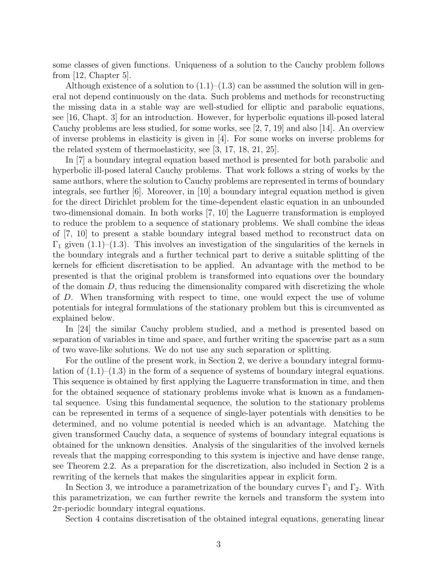some classes of given functions. Uniqueness of a solution to the Cauchy problem follows from [\[12,](#page-24-3) Chapter 5].

Although existence of a solution to  $(1.1)$ – $(1.3)$  can be assumed the solution will in general not depend continuously on the data. Such problems and methods for reconstructing the missing data in a stable way are well-studied for elliptic and parabolic equations, see [\[16,](#page-24-4) Chapt. 3] for an introduction. However, for hyperbolic equations ill-posed lateral Cauchy problems are less studied, for some works, see [\[2,](#page-22-0) [7,](#page-23-0) [19\]](#page-24-5) and also [\[14\]](#page-24-6). An overview of inverse problems in elasticity is given in [\[4\]](#page-23-1). For some works on inverse problems for the related system of thermoelasticity, see [\[3,](#page-23-2) [17,](#page-24-7) [18,](#page-24-8) [21,](#page-25-2) [25\]](#page-25-3).

In [\[7\]](#page-23-0) a boundary integral equation based method is presented for both parabolic and hyperbolic ill-posed lateral Cauchy problems. That work follows a string of works by the same authors, where the solution to Cauchy problems are represented in terms of boundary integrals, see further [\[6\]](#page-23-3). Moreover, in [\[10\]](#page-24-9) a boundary integral equation method is given for the direct Dirichlet problem for the time-dependent elastic equation in an unbounded two-dimensional domain. In both works [\[7,](#page-23-0) [10\]](#page-24-9) the Laguerre transformation is employed to reduce the problem to a sequence of stationary problems. We shall combine the ideas of [\[7,](#page-23-0) [10\]](#page-24-9) to present a stable boundary integral based method to reconstruct data on  $\Gamma_1$  given  $(1.1)$ – $(1.3)$ . This involves an investigation of the singularities of the kernels in the boundary integrals and a further technical part to derive a suitable splitting of the kernels for efficient discretisation to be applied. An advantage with the method to be presented is that the original problem is transformed into equations over the boundary of the domain D, thus reducing the dimensionality compared with discretizing the whole of D. When transforming with respect to time, one would expect the use of volume potentials for integral formulations of the stationary problem but this is circumvented as explained below.

In [\[24\]](#page-25-4) the similar Cauchy problem studied, and a method is presented based on separation of variables in time and space, and further writing the spacewise part as a sum of two wave-like solutions. We do not use any such separation or splitting.

For the outline of the present work, in Section 2, we derive a boundary integral formulation of  $(1.1)$ – $(1.3)$  in the form of a sequence of systems of boundary integral equations. This sequence is obtained by first applying the Laguerre transformation in time, and then for the obtained sequence of stationary problems invoke what is known as a fundamental sequence. Using this fundamental sequence, the solution to the stationary problems can be represented in terms of a sequence of single-layer potentials with densities to be determined, and no volume potential is needed which is an advantage. Matching the given transformed Cauchy data, a sequence of systems of boundary integral equations is obtained for the unknown densities. Analysis of the singularities of the involved kernels reveals that the mapping corresponding to this system is injective and have dense range, see Theorem [2.2.](#page-5-0) As a preparation for the discretization, also included in Section 2 is a rewriting of the kernels that makes the singularities appear in explicit form.

In Section 3, we introduce a parametrization of the boundary curves  $\Gamma_1$  and  $\Gamma_2$ . With this parametrization, we can further rewrite the kernels and transform the system into  $2\pi$ -periodic boundary integral equations.

Section 4 contains discretisation of the obtained integral equations, generating linear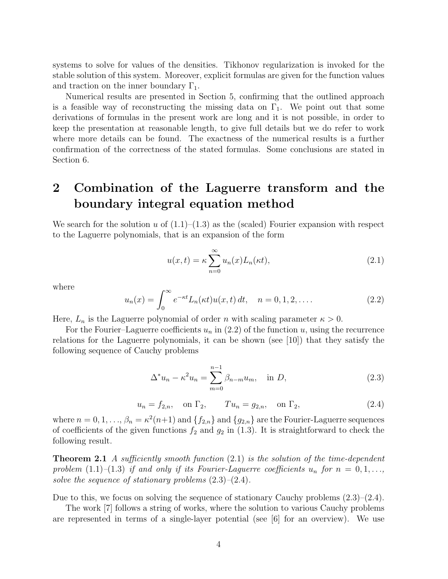systems to solve for values of the densities. Tikhonov regularization is invoked for the stable solution of this system. Moreover, explicit formulas are given for the function values and traction on the inner boundary  $\Gamma_1$ .

Numerical results are presented in Section 5, confirming that the outlined approach is a feasible way of reconstructing the missing data on  $\Gamma_1$ . We point out that some derivations of formulas in the present work are long and it is not possible, in order to keep the presentation at reasonable length, to give full details but we do refer to work where more details can be found. The exactness of the numerical results is a further confirmation of the correctness of the stated formulas. Some conclusions are stated in Section 6.

### <span id="page-3-4"></span>2 Combination of the Laguerre transform and the boundary integral equation method

We search for the solution u of  $(1.1)$ – $(1.3)$  as the (scaled) Fourier expansion with respect to the Laguerre polynomials, that is an expansion of the form

<span id="page-3-1"></span>
$$
u(x,t) = \kappa \sum_{n=0}^{\infty} u_n(x) L_n(\kappa t), \qquad (2.1)
$$

where

<span id="page-3-0"></span>
$$
u_n(x) = \int_0^\infty e^{-\kappa t} L_n(\kappa t) u(x, t) dt, \quad n = 0, 1, 2, .... \tag{2.2}
$$

Here,  $L_n$  is the Laguerre polynomial of order n with scaling parameter  $\kappa > 0$ .

For the Fourier–Laguerre coefficients  $u_n$  in [\(2.2\)](#page-3-0) of the function u, using the recurrence relations for the Laguerre polynomials, it can be shown (see [\[10\]](#page-24-9)) that they satisfy the following sequence of Cauchy problems

<span id="page-3-2"></span>
$$
\Delta^* u_n - \kappa^2 u_n = \sum_{m=0}^{n-1} \beta_{n-m} u_m, \quad \text{in } D,
$$
 (2.3)

<span id="page-3-3"></span>
$$
u_n = f_{2,n}
$$
, on  $\Gamma_2$ ,  $Tu_n = g_{2,n}$ , on  $\Gamma_2$ , (2.4)

where  $n = 0, 1, ..., \beta_n = \kappa^2(n+1)$  and  $\{f_{2,n}\}\$  and  $\{g_{2,n}\}\$  are the Fourier-Laguerre sequences of coefficients of the given functions  $f_2$  and  $g_2$  in [\(1.3\)](#page-1-0). It is straightforward to check the following result.

**Theorem 2.1** A sufficiently smooth function  $(2.1)$  is the solution of the time-dependent problem [\(1.1\)](#page-0-0)–[\(1.3\)](#page-1-0) if and only if its Fourier-Laguerre coefficients  $u_n$  for  $n = 0, 1, \ldots$ , solve the sequence of stationary problems  $(2.3)$ – $(2.4)$ .

Due to this, we focus on solving the sequence of stationary Cauchy problems  $(2.3)$ – $(2.4)$ .

The work [\[7\]](#page-23-0) follows a string of works, where the solution to various Cauchy problems are represented in terms of a single-layer potential (see [\[6\]](#page-23-3) for an overview). We use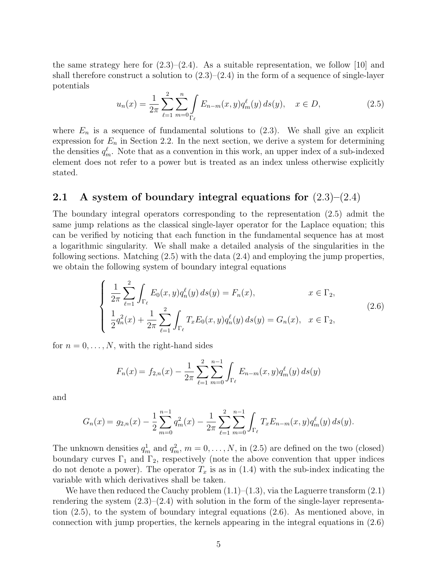the same strategy here for  $(2.3)-(2.4)$  $(2.3)-(2.4)$ . As a suitable representation, we follow [\[10\]](#page-24-9) and shall therefore construct a solution to  $(2.3)$ – $(2.4)$  in the form of a sequence of single-layer potentials

<span id="page-4-0"></span>
$$
u_n(x) = \frac{1}{2\pi} \sum_{\ell=1}^2 \sum_{m=0}^n \int_{\Gamma_\ell} E_{n-m}(x, y) q_m^{\ell}(y) ds(y), \quad x \in D,
$$
 (2.5)

where  $E_n$  is a sequence of fundamental solutions to  $(2.3)$ . We shall give an explicit expression for  $E_n$  in Section [2.2.](#page-5-1) In the next section, we derive a system for determining the densities  $q_m^{\ell}$ . Note that as a convention in this work, an upper index of a sub-indexed element does not refer to a power but is treated as an index unless otherwise explicitly stated.

#### 2.1 A system of boundary integral equations for  $(2.3)$ – $(2.4)$

The boundary integral operators corresponding to the representation [\(2.5\)](#page-4-0) admit the same jump relations as the classical single-layer operator for the Laplace equation; this can be verified by noticing that each function in the fundamental sequence has at most a logarithmic singularity. We shall make a detailed analysis of the singularities in the following sections. Matching [\(2.5\)](#page-4-0) with the data [\(2.4\)](#page-3-3) and employing the jump properties, we obtain the following system of boundary integral equations

<span id="page-4-1"></span>
$$
\begin{cases}\n\frac{1}{2\pi} \sum_{\ell=1}^{2} \int_{\Gamma_{\ell}} E_0(x, y) q_n^{\ell}(y) ds(y) = F_n(x), & x \in \Gamma_2, \\
\frac{1}{2} q_n^2(x) + \frac{1}{2\pi} \sum_{\ell=1}^{2} \int_{\Gamma_{\ell}} T_x E_0(x, y) q_n^{\ell}(y) ds(y) = G_n(x), & x \in \Gamma_2,\n\end{cases}
$$
\n(2.6)

for  $n = 0, \ldots, N$ , with the right-hand sides

$$
F_n(x) = f_{2,n}(x) - \frac{1}{2\pi} \sum_{\ell=1}^2 \sum_{m=0}^{n-1} \int_{\Gamma_\ell} E_{n-m}(x, y) q_m^{\ell}(y) ds(y)
$$

and

$$
G_n(x) = g_{2,n}(x) - \frac{1}{2} \sum_{m=0}^{n-1} q_m^2(x) - \frac{1}{2\pi} \sum_{\ell=1}^2 \sum_{m=0}^{n-1} \int_{\Gamma_\ell} T_x E_{n-m}(x, y) q_m^{\ell}(y) ds(y).
$$

The unknown densities  $q_m^1$  and  $q_m^2$ ,  $m = 0, \ldots, N$ , in [\(2.5\)](#page-4-0) are defined on the two (closed) boundary curves  $\Gamma_1$  and  $\Gamma_2$ , respectively (note the above convention that upper indices do not denote a power). The operator  $T_x$  is as in [\(1.4\)](#page-1-1) with the sub-index indicating the variable with which derivatives shall be taken.

We have then reduced the Cauchy problem  $(1.1)$ – $(1.3)$ , via the Laguerre transform  $(2.1)$ rendering the system  $(2.3)$ – $(2.4)$  with solution in the form of the single-layer representation [\(2.5\)](#page-4-0), to the system of boundary integral equations [\(2.6\)](#page-4-1). As mentioned above, in connection with jump properties, the kernels appearing in the integral equations in [\(2.6\)](#page-4-1)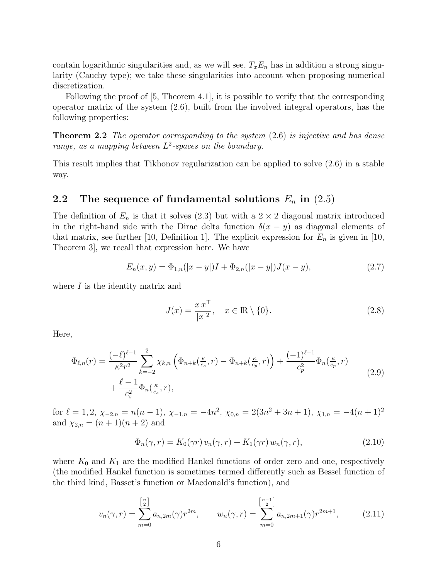contain logarithmic singularities and, as we will see,  $T_xE_n$  has in addition a strong singularity (Cauchy type); we take these singularities into account when proposing numerical discretization.

<span id="page-5-0"></span>Following the proof of [\[5,](#page-23-4) Theorem 4.1], it is possible to verify that the corresponding operator matrix of the system [\(2.6\)](#page-4-1), built from the involved integral operators, has the following properties:

**Theorem 2.2** The operator corresponding to the system  $(2.6)$  is injective and has dense range, as a mapping between  $L^2$ -spaces on the boundary.

This result implies that Tikhonov regularization can be applied to solve [\(2.6\)](#page-4-1) in a stable way.

#### <span id="page-5-1"></span>2.2 The sequence of fundamental solutions  $E_n$  in  $(2.5)$

The definition of  $E_n$  is that it solves [\(2.3\)](#page-3-2) but with a  $2 \times 2$  diagonal matrix introduced in the right-hand side with the Dirac delta function  $\delta(x - y)$  as diagonal elements of that matrix, see further [\[10,](#page-24-9) Definition 1]. The explicit expression for  $E_n$  is given in [10, Theorem 3], we recall that expression here. We have

<span id="page-5-4"></span>
$$
E_n(x,y) = \Phi_{1,n}(|x-y|)I + \Phi_{2,n}(|x-y|)J(x-y),
$$
\n(2.7)

where  $I$  is the identity matrix and

<span id="page-5-3"></span>
$$
J(x) = \frac{x x^{\top}}{|x|^2}, \quad x \in \mathbb{R} \setminus \{0\}.
$$
 (2.8)

Here,

<span id="page-5-5"></span>
$$
\Phi_{\ell,n}(r) = \frac{(-\ell)^{\ell-1}}{\kappa^2 r^2} \sum_{k=-2}^2 \chi_{k,n} \left( \Phi_{n+k}(\frac{\kappa}{c_s}, r) - \Phi_{n+k}(\frac{\kappa}{c_p}, r) \right) + \frac{(-1)^{\ell-1}}{c_p^2} \Phi_n(\frac{\kappa}{c_p}, r) + \frac{\ell-1}{c_s^2} \Phi_n(\frac{\kappa}{c_s}, r), \tag{2.9}
$$

for  $\ell = 1, 2, \chi_{-2,n} = n(n-1), \chi_{-1,n} = -4n^2, \chi_{0,n} = 2(3n^2 + 3n + 1), \chi_{1,n} = -4(n+1)^2$ and  $\chi_{2,n} = (n+1)(n+2)$  and

<span id="page-5-2"></span>
$$
\Phi_n(\gamma, r) = K_0(\gamma r) v_n(\gamma, r) + K_1(\gamma r) w_n(\gamma, r), \qquad (2.10)
$$

where  $K_0$  and  $K_1$  are the modified Hankel functions of order zero and one, respectively (the modified Hankel function is sometimes termed differently such as Bessel function of the third kind, Basset's function or Macdonald's function), and

<span id="page-5-6"></span>
$$
v_n(\gamma, r) = \sum_{m=0}^{\left[\frac{n}{2}\right]} a_{n,2m}(\gamma) r^{2m}, \qquad w_n(\gamma, r) = \sum_{m=0}^{\left[\frac{n-1}{2}\right]} a_{n,2m+1}(\gamma) r^{2m+1}, \tag{2.11}
$$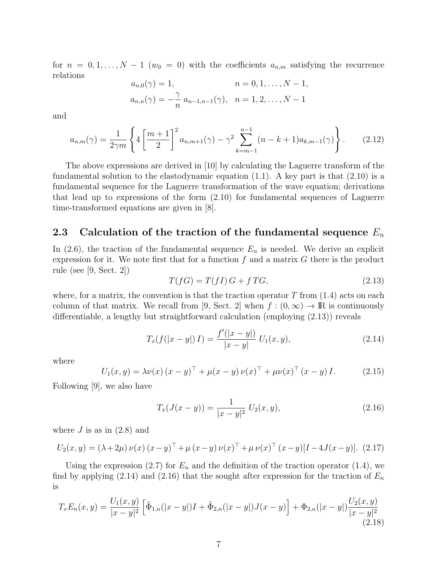for  $n = 0, 1, ..., N - 1$  ( $w_0 = 0$ ) with the coefficients  $a_{n,m}$  satisfying the recurrence relations

$$
a_{n,0}(\gamma) = 1, \qquad n = 0, 1, \dots, N - 1, a_{n,n}(\gamma) = -\frac{\gamma}{n} a_{n-1,n-1}(\gamma), \quad n = 1, 2, \dots, N - 1
$$

and

<span id="page-6-3"></span>
$$
a_{n,m}(\gamma) = \frac{1}{2\gamma m} \left\{ 4 \left[ \frac{m+1}{2} \right]^2 a_{n,m+1}(\gamma) - \gamma^2 \sum_{k=m-1}^{n-1} (n-k+1) a_{k,m-1}(\gamma) \right\}.
$$
 (2.12)

The above expressions are derived in [\[10\]](#page-24-9) by calculating the Laguerre transform of the fundamental solution to the elastodynamic equation  $(1.1)$ . A key part is that  $(2.10)$  is a fundamental sequence for the Laguerre transformation of the wave equation; derivations that lead up to expressions of the form [\(2.10\)](#page-5-2) for fundamental sequences of Laguerre time-transformed equations are given in [\[8\]](#page-24-10).

#### 2.3 Calculation of the traction of the fundamental sequence  $E_n$

In  $(2.6)$ , the traction of the fundamental sequence  $E_n$  is needed. We derive an explicit expression for it. We note first that for a function  $f$  and a matrix  $G$  there is the product rule (see [\[9,](#page-24-11) Sect. 2])

<span id="page-6-0"></span>
$$
T(fG) = T(fI)G + fTG,
$$
\n
$$
(2.13)
$$

where, for a matrix, the convention is that the traction operator  $T$  from  $(1.4)$  acts on each column of that matrix. We recall from [\[9,](#page-24-11) Sect. 2] when  $f : (0, \infty) \to \mathbb{R}$  is continuously differentiable, a lengthy but straightforward calculation (employing [\(2.13\)](#page-6-0)) reveals

<span id="page-6-1"></span>
$$
T_x(f(|x-y|)I) = \frac{f'(|x-y|)}{|x-y|} U_1(x,y),
$$
\n(2.14)

where

<span id="page-6-5"></span>
$$
U_1(x, y) = \lambda \nu(x) (x - y)^{\top} + \mu(x - y) \nu(x)^{\top} + \mu \nu(x)^{\top} (x - y) I.
$$
 (2.15)

Following [\[9\]](#page-24-11), we also have

<span id="page-6-2"></span>
$$
T_x(J(x-y)) = \frac{1}{|x-y|^2} U_2(x,y), \qquad (2.16)
$$

where  $J$  is as in  $(2.8)$  and

<span id="page-6-6"></span>
$$
U_2(x,y) = (\lambda + 2\mu) \nu(x) (x - y)^{\top} + \mu (x - y) \nu(x)^{\top} + \mu \nu(x)^{\top} (x - y)[I - 4J(x - y)]. \tag{2.17}
$$

Using the expression [\(2.7\)](#page-5-4) for  $E_n$  and the definition of the traction operator [\(1.4\)](#page-1-1), we find by applying [\(2.14\)](#page-6-1) and [\(2.16\)](#page-6-2) that the sought after expression for the traction of  $E_n$ is

<span id="page-6-4"></span>
$$
T_x E_n(x,y) = \frac{U_1(x,y)}{|x-y|^2} \left[ \tilde{\Phi}_{1,n}(|x-y|)I + \tilde{\Phi}_{2,n}(|x-y|)J(x-y) \right] + \Phi_{2,n}(|x-y|) \frac{U_2(x,y)}{|x-y|^2}
$$
\n(2.18)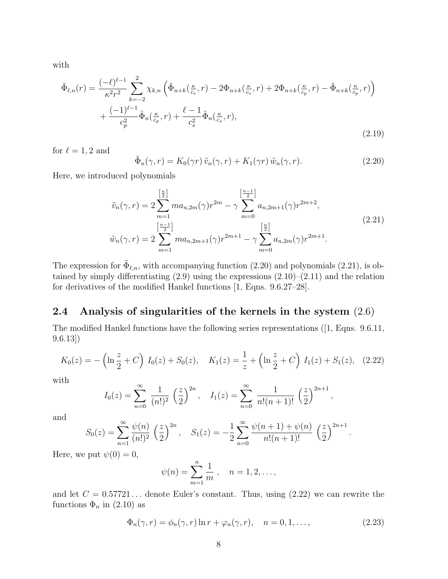with

<span id="page-7-4"></span>
$$
\tilde{\Phi}_{\ell,n}(r) = \frac{(-\ell)^{\ell-1}}{\kappa^2 r^2} \sum_{k=-2}^2 \chi_{k,n} \left( \tilde{\Phi}_{n+k}(\frac{\kappa}{c_s}, r) - 2\Phi_{n+k}(\frac{\kappa}{c_s}, r) + 2\Phi_{n+k}(\frac{\kappa}{c_p}, r) - \tilde{\Phi}_{n+k}(\frac{\kappa}{c_p}, r) \right) \n+ \frac{(-1)^{\ell-1}}{c_p^2} \tilde{\Phi}_n(\frac{\kappa}{c_p}, r) + \frac{\ell-1}{c_s^2} \tilde{\Phi}_n(\frac{\kappa}{c_s}, r),
$$
\n(2.19)

for  $\ell = 1, 2$  and

<span id="page-7-0"></span>
$$
\tilde{\Phi}_n(\gamma, r) = K_0(\gamma r) \tilde{v}_n(\gamma, r) + K_1(\gamma r) \tilde{w}_n(\gamma, r). \tag{2.20}
$$

<span id="page-7-1"></span>Here, we introduced polynomials

$$
\tilde{v}_n(\gamma, r) = 2 \sum_{m=1}^{\left[\frac{n}{2}\right]} m a_{n,2m}(\gamma) r^{2m} - \gamma \sum_{m=0}^{\left[\frac{n-1}{2}\right]} a_{n,2m+1}(\gamma) r^{2m+2},
$$
\n
$$
\tilde{w}_n(\gamma, r) = 2 \sum_{m=1}^{\left[\frac{n-1}{2}\right]} m a_{n,2m+1}(\gamma) r^{2m+1} - \gamma \sum_{m=0}^{\left[\frac{n}{2}\right]} a_{n,2m}(\gamma) r^{2m+1}.
$$
\n(2.21)

The expression for  $\tilde{\Phi}_{\ell,n}$ , with accompanying function [\(2.20\)](#page-7-0) and polynomials [\(2.21\)](#page-7-1), is obtained by simply differentiating  $(2.9)$  using the expressions  $(2.10)$ – $(2.11)$  and the relation for derivatives of the modified Hankel functions [\[1,](#page-22-1) Eqns. 9.6.27–28].

#### 2.4 Analysis of singularities of the kernels in the system [\(2.6\)](#page-4-1)

The modified Hankel functions have the following series representations([\[1,](#page-22-1) Eqns. 9.6.11, 9.6.13])

<span id="page-7-2"></span>
$$
K_0(z) = -\left(\ln\frac{z}{2} + C\right) I_0(z) + S_0(z), \quad K_1(z) = \frac{1}{z} + \left(\ln\frac{z}{2} + C\right) I_1(z) + S_1(z), \quad (2.22)
$$

with

$$
I_0(z) = \sum_{n=0}^{\infty} \frac{1}{(n!)^2} \left(\frac{z}{2}\right)^{2n}, \quad I_1(z) = \sum_{n=0}^{\infty} \frac{1}{n!(n+1)!} \left(\frac{z}{2}\right)^{2n+1},
$$

and

$$
S_0(z) = \sum_{n=1}^{\infty} \frac{\psi(n)}{(n!)^2} \left(\frac{z}{2}\right)^{2n}, \quad S_1(z) = -\frac{1}{2} \sum_{n=0}^{\infty} \frac{\psi(n+1) + \psi(n)}{n!(n+1)!} \left(\frac{z}{2}\right)^{2n+1}.
$$

Here, we put  $\psi(0) = 0$ ,

$$
\psi(n) = \sum_{m=1}^{n} \frac{1}{m}, \quad n = 1, 2, \dots,
$$

and let  $C = 0.57721...$  denote Euler's constant. Thus, using  $(2.22)$  we can rewrite the functions  $\Phi_n$  in [\(2.10\)](#page-5-2) as

<span id="page-7-3"></span>
$$
\Phi_n(\gamma, r) = \phi_n(\gamma, r) \ln r + \varphi_n(\gamma, r), \quad n = 0, 1, \dots,
$$
\n(2.23)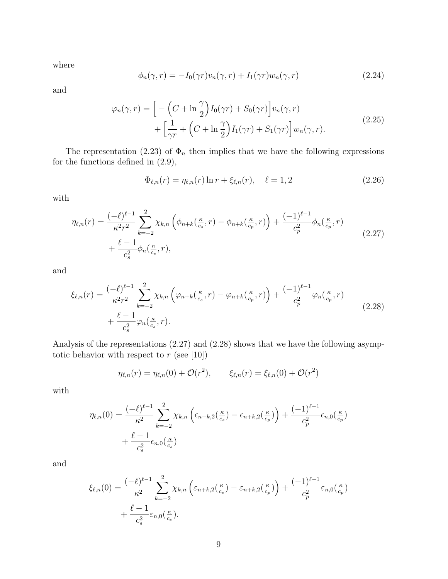where

<span id="page-8-3"></span>
$$
\phi_n(\gamma, r) = -I_0(\gamma r)v_n(\gamma, r) + I_1(\gamma r)w_n(\gamma, r) \tag{2.24}
$$

<span id="page-8-4"></span>and

$$
\varphi_n(\gamma, r) = \left[ -\left( C + \ln \frac{\gamma}{2} \right) I_0(\gamma r) + S_0(\gamma r) \right] v_n(\gamma, r) + \left[ \frac{1}{\gamma r} + \left( C + \ln \frac{\gamma}{2} \right) I_1(\gamma r) + S_1(\gamma r) \right] w_n(\gamma, r).
$$
\n(2.25)

The representation [\(2.23\)](#page-7-3) of  $\Phi_n$  then implies that we have the following expressions for the functions defined in [\(2.9\)](#page-5-5),

<span id="page-8-2"></span>
$$
\Phi_{\ell,n}(r) = \eta_{\ell,n}(r) \ln r + \xi_{\ell,n}(r), \quad \ell = 1, 2 \tag{2.26}
$$

with

<span id="page-8-0"></span>
$$
\eta_{\ell,n}(r) = \frac{(-\ell)^{\ell-1}}{\kappa^2 r^2} \sum_{k=-2}^{2} \chi_{k,n} \left( \phi_{n+k}(\frac{\kappa}{c_s}, r) - \phi_{n+k}(\frac{\kappa}{c_p}, r) \right) + \frac{(-1)^{\ell-1}}{c_p^2} \phi_n(\frac{\kappa}{c_p}, r) + \frac{\ell-1}{c_s^2} \phi_n(\frac{\kappa}{c_s}, r), \tag{2.27}
$$

and

<span id="page-8-1"></span>
$$
\xi_{\ell,n}(r) = \frac{(-\ell)^{\ell-1}}{\kappa^2 r^2} \sum_{k=-2}^{2} \chi_{k,n} \left( \varphi_{n+k}(\frac{\kappa}{c_s}, r) - \varphi_{n+k}(\frac{\kappa}{c_p}, r) \right) + \frac{(-1)^{\ell-1}}{c_p^2} \varphi_n(\frac{\kappa}{c_p}, r) + \frac{\ell-1}{c_s^2} \varphi_n(\frac{\kappa}{c_s}, r).
$$
\n(2.28)

Analysis of the representations [\(2.27\)](#page-8-0) and [\(2.28\)](#page-8-1) shows that we have the following asymptotic behavior with respect to  $r$  (see [\[10\]](#page-24-9))

$$
\eta_{\ell,n}(r) = \eta_{\ell,n}(0) + \mathcal{O}(r^2), \qquad \xi_{\ell,n}(r) = \xi_{\ell,n}(0) + \mathcal{O}(r^2)
$$

with

$$
\eta_{\ell,n}(0) = \frac{(-\ell)^{\ell-1}}{\kappa^2} \sum_{k=-2}^2 \chi_{k,n} \left( \epsilon_{n+k,2}(\frac{\kappa}{c_s}) - \epsilon_{n+k,2}(\frac{\kappa}{c_p}) \right) + \frac{(-1)^{\ell-1}}{c_p^2} \epsilon_{n,0}(\frac{\kappa}{c_p}) + \frac{\ell-1}{c_s^2} \epsilon_{n,0}(\frac{\kappa}{c_s})
$$

and

$$
\xi_{\ell,n}(0) = \frac{(-\ell)^{\ell-1}}{\kappa^2} \sum_{k=-2}^2 \chi_{k,n} \left( \varepsilon_{n+k,2}(\frac{\kappa}{c_s}) - \varepsilon_{n+k,2}(\frac{\kappa}{c_p}) \right) + \frac{(-1)^{\ell-1}}{c_p^2} \varepsilon_{n,0}(\frac{\kappa}{c_p}) + \frac{\ell-1}{c_s^2} \varepsilon_{n,0}(\frac{\kappa}{c_s}).
$$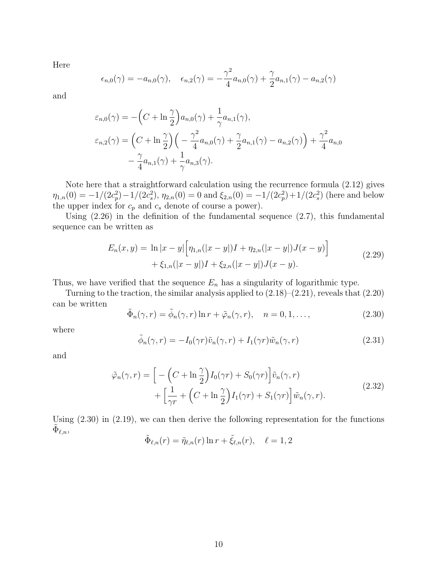Here

$$
\epsilon_{n,0}(\gamma) = -a_{n,0}(\gamma), \quad \epsilon_{n,2}(\gamma) = -\frac{\gamma^2}{4}a_{n,0}(\gamma) + \frac{\gamma}{2}a_{n,1}(\gamma) - a_{n,2}(\gamma)
$$

and

$$
\varepsilon_{n,0}(\gamma) = -\left(C + \ln \frac{\gamma}{2}\right) a_{n,0}(\gamma) + \frac{1}{\gamma} a_{n,1}(\gamma),
$$
  

$$
\varepsilon_{n,2}(\gamma) = \left(C + \ln \frac{\gamma}{2}\right) \left(-\frac{\gamma^2}{4} a_{n,0}(\gamma) + \frac{\gamma}{2} a_{n,1}(\gamma) - a_{n,2}(\gamma)\right) + \frac{\gamma^2}{4} a_{n,0}
$$
  

$$
-\frac{\gamma}{4} a_{n,1}(\gamma) + \frac{1}{\gamma} a_{n,3}(\gamma).
$$

Note here that a straightforward calculation using the recurrence formula [\(2.12\)](#page-6-3) gives  $\eta_{1,n}(0) = -1/(2c_p^2) - 1/(2c_s^2), \eta_{2,n}(0) = 0$  and  $\xi_{2,n}(0) = -1/(2c_p^2) + 1/(2c_s^2)$  (here and below the upper index for  $c_p$  and  $c_s$  denote of course a power).

Using  $(2.26)$  in the definition of the fundamental sequence  $(2.7)$ , this fundamental sequence can be written as

$$
E_n(x,y) = \ln|x-y| \Big[ \eta_{1,n}(|x-y|)I + \eta_{2,n}(|x-y|)J(x-y) \Big] + \xi_{1,n}(|x-y|)I + \xi_{2,n}(|x-y|)J(x-y). \tag{2.29}
$$

<span id="page-9-3"></span>Thus, we have verified that the sequence  $E_n$  has a singularity of logarithmic type.

Turning to the traction, the similar analysis applied to  $(2.18)$ – $(2.21)$ , reveals that  $(2.20)$ can be written

<span id="page-9-0"></span>
$$
\tilde{\Phi}_n(\gamma, r) = \tilde{\phi}_n(\gamma, r) \ln r + \tilde{\varphi}_n(\gamma, r), \quad n = 0, 1, \dots,
$$
\n(2.30)

where

<span id="page-9-1"></span>
$$
\tilde{\phi}_n(\gamma, r) = -I_0(\gamma r)\tilde{v}_n(\gamma, r) + I_1(\gamma r)\tilde{w}_n(\gamma, r)
$$
\n(2.31)

<span id="page-9-2"></span>and

$$
\tilde{\varphi}_n(\gamma, r) = \left[ -\left( C + \ln \frac{\gamma}{2} \right) I_0(\gamma r) + S_0(\gamma r) \right] \tilde{v}_n(\gamma, r) \n+ \left[ \frac{1}{\gamma r} + \left( C + \ln \frac{\gamma}{2} \right) I_1(\gamma r) + S_1(\gamma r) \right] \tilde{w}_n(\gamma, r).
$$
\n(2.32)

Using [\(2.30\)](#page-9-0) in [\(2.19\)](#page-7-4), we can then derive the following representation for the functions  $\tilde{\Phi}_{\ell,n},$ 

$$
\tilde{\Phi}_{\ell,n}(r) = \tilde{\eta}_{\ell,n}(r) \ln r + \tilde{\xi}_{\ell,n}(r), \quad \ell = 1, 2
$$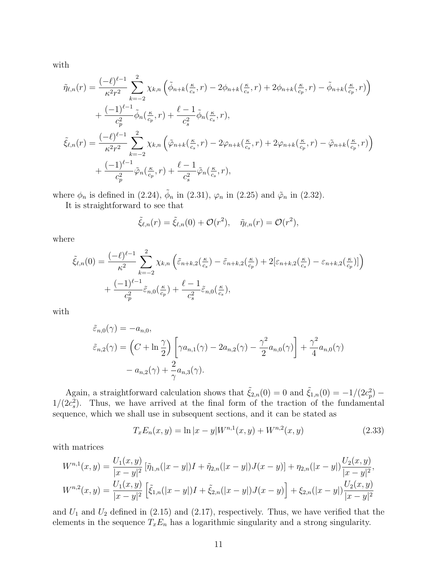with

$$
\tilde{\eta}_{\ell,n}(r) = \frac{(-\ell)^{\ell-1}}{\kappa^2 r^2} \sum_{k=-2}^2 \chi_{k,n} \left( \tilde{\phi}_{n+k}(\frac{\kappa}{c_s}, r) - 2\phi_{n+k}(\frac{\kappa}{c_s}, r) + 2\phi_{n+k}(\frac{\kappa}{c_p}, r) - \tilde{\phi}_{n+k}(\frac{\kappa}{c_p}, r) \right) \n+ \frac{(-1)^{\ell-1}}{c_p^2} \tilde{\phi}_n(\frac{\kappa}{c_p}, r) + \frac{\ell-1}{c_s^2} \tilde{\phi}_n(\frac{\kappa}{c_s}, r), \n\tilde{\xi}_{\ell,n}(r) = \frac{(-\ell)^{\ell-1}}{\kappa^2 r^2} \sum_{k=-2}^2 \chi_{k,n} \left( \tilde{\varphi}_{n+k}(\frac{\kappa}{c_s}, r) - 2\varphi_{n+k}(\frac{\kappa}{c_s}, r) + 2\varphi_{n+k}(\frac{\kappa}{c_p}, r) - \tilde{\varphi}_{n+k}(\frac{\kappa}{c_p}, r) \right) \n+ \frac{(-1)^{\ell-1}}{c_p^2} \tilde{\varphi}_n(\frac{\kappa}{c_p}, r) + \frac{\ell-1}{c_s^2} \tilde{\varphi}_n(\frac{\kappa}{c_s}, r),
$$

where  $\phi_n$  is defined in [\(2.24\)](#page-8-3),  $\tilde{\phi}_n$  in [\(2.31\)](#page-9-1),  $\varphi_n$  in [\(2.25\)](#page-8-4) and  $\tilde{\varphi}_n$  in [\(2.32\)](#page-9-2).

It is straightforward to see that

$$
\tilde{\xi}_{\ell,n}(r) = \tilde{\xi}_{\ell,n}(0) + \mathcal{O}(r^2), \quad \tilde{\eta}_{\ell,n}(r) = \mathcal{O}(r^2),
$$

where

$$
\tilde{\xi}_{\ell,n}(0) = \frac{(-\ell)^{\ell-1}}{\kappa^2} \sum_{k=-2}^2 \chi_{k,n} \left( \tilde{\varepsilon}_{n+k,2}(\frac{\kappa}{c_s}) - \tilde{\varepsilon}_{n+k,2}(\frac{\kappa}{c_p}) + 2[\varepsilon_{n+k,2}(\frac{\kappa}{c_s}) - \varepsilon_{n+k,2}(\frac{\kappa}{c_p})] \right) \n+ \frac{(-1)^{\ell-1}}{c_p^2} \tilde{\varepsilon}_{n,0}(\frac{\kappa}{c_p}) + \frac{\ell-1}{c_s^2} \tilde{\varepsilon}_{n,0}(\frac{\kappa}{c_s}),
$$

with

$$
\tilde{\varepsilon}_{n,0}(\gamma) = -a_{n,0},
$$
\n
$$
\tilde{\varepsilon}_{n,2}(\gamma) = \left(C + \ln \frac{\gamma}{2}\right) \left[\gamma a_{n,1}(\gamma) - 2a_{n,2}(\gamma) - \frac{\gamma^2}{2} a_{n,0}(\gamma)\right] + \frac{\gamma^2}{4} a_{n,0}(\gamma)
$$
\n
$$
- a_{n,2}(\gamma) + \frac{2}{\gamma} a_{n,3}(\gamma).
$$

Again, a straightforward calculation shows that  $\tilde{\xi}_{2,n}(0) = 0$  and  $\tilde{\xi}_{1,n}(0) = -1/(2c_p^2)$  $1/(2c_s^2)$ . Thus, we have arrived at the final form of the traction of the fundamental sequence, which we shall use in subsequent sections, and it can be stated as

<span id="page-10-0"></span>
$$
T_x E_n(x, y) = \ln|x - y| W^{n,1}(x, y) + W^{n,2}(x, y)
$$
\n(2.33)

with matrices

$$
W^{n,1}(x,y) = \frac{U_1(x,y)}{|x-y|^2} \left[ \tilde{\eta}_{1,n}(|x-y|)I + \tilde{\eta}_{2,n}(|x-y|)J(x-y) \right] + \eta_{2,n}(|x-y|) \frac{U_2(x,y)}{|x-y|^2},
$$
  

$$
W^{n,2}(x,y) = \frac{U_1(x,y)}{|x-y|^2} \left[ \tilde{\xi}_{1,n}(|x-y|)I + \tilde{\xi}_{2,n}(|x-y|)J(x-y) \right] + \xi_{2,n}(|x-y|) \frac{U_2(x,y)}{|x-y|^2}
$$

and  $U_1$  and  $U_2$  defined in [\(2.15\)](#page-6-5) and [\(2.17\)](#page-6-6), respectively. Thus, we have verified that the elements in the sequence  $T_xE_n$  has a logarithmic singularity and a strong singularity.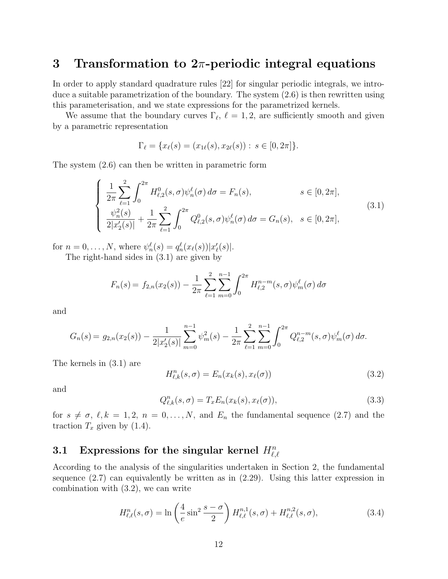#### 3 Transformation to  $2\pi$ -periodic integral equations

In order to apply standard quadrature rules [\[22\]](#page-25-5) for singular periodic integrals, we introduce a suitable parametrization of the boundary. The system [\(2.6\)](#page-4-1) is then rewritten using this parameterisation, and we state expressions for the parametrized kernels.

We assume that the boundary curves  $\Gamma_{\ell}$ ,  $\ell = 1, 2$ , are sufficiently smooth and given by a parametric representation

$$
\Gamma_{\ell} = \{x_{\ell}(s) = (x_{1\ell}(s), x_{2\ell}(s)) : s \in [0, 2\pi]\}.
$$

The system [\(2.6\)](#page-4-1) can then be written in parametric form

<span id="page-11-0"></span>
$$
\begin{cases}\n\frac{1}{2\pi} \sum_{\ell=1}^{2} \int_{0}^{2\pi} H_{\ell,2}^{0}(s,\sigma) \psi_{n}^{\ell}(\sigma) d\sigma = F_{n}(s), & s \in [0, 2\pi], \\
\frac{\psi_{n}^{2}(s)}{2|x_{2}'(s)|} + \frac{1}{2\pi} \sum_{\ell=1}^{2} \int_{0}^{2\pi} Q_{\ell,2}^{0}(s,\sigma) \psi_{n}^{\ell}(\sigma) d\sigma = G_{n}(s), & s \in [0, 2\pi],\n\end{cases}
$$
\n(3.1)

for  $n = 0, ..., N$ , where  $\psi_n^{\ell}(s) = q_n^{\ell}(x_{\ell}(s)) |x'_{\ell}(s)|$ . The right-hand sides in [\(3.1\)](#page-11-0) are given by

$$
F_n(s) = f_{2,n}(x_2(s)) - \frac{1}{2\pi} \sum_{\ell=1}^2 \sum_{m=0}^{n-1} \int_0^{2\pi} H_{\ell,2}^{n-m}(s,\sigma) \psi_m^{\ell}(\sigma) d\sigma
$$

and

$$
G_n(s) = g_{2,n}(x_2(s)) - \frac{1}{2|x_2'(s)|} \sum_{m=0}^{n-1} \psi_m^2(s) - \frac{1}{2\pi} \sum_{\ell=1}^2 \sum_{m=0}^{n-1} \int_0^{2\pi} Q_{\ell,2}^{n-m}(s,\sigma) \psi_m^{\ell}(\sigma) d\sigma.
$$

The kernels in [\(3.1\)](#page-11-0) are

<span id="page-11-1"></span>
$$
H_{\ell,k}^n(s,\sigma) = E_n(x_k(s), x_\ell(\sigma))
$$
\n(3.2)

and

<span id="page-11-2"></span>
$$
Q_{\ell,k}^n(s,\sigma) = T_x E_n(x_k(s), x_\ell(\sigma)),
$$
\n(3.3)

for  $s \neq \sigma, \ell, k = 1, 2, n = 0, ..., N$ , and  $E_n$  the fundamental sequence [\(2.7\)](#page-5-4) and the traction  $T_x$  given by [\(1.4\)](#page-1-1).

## 3.1 Expressions for the singular kernel  $H_{\ell,\ell}^n$

According to the analysis of the singularities undertaken in Section [2,](#page-3-4) the fundamental sequence  $(2.7)$  can equivalently be written as in  $(2.29)$ . Using this latter expression in combination with [\(3.2\)](#page-11-1), we can write

<span id="page-11-3"></span>
$$
H_{\ell,\ell}^n(s,\sigma) = \ln\left(\frac{4}{e}\sin^2\frac{s-\sigma}{2}\right)H_{\ell,\ell}^{n,1}(s,\sigma) + H_{\ell,\ell}^{n,2}(s,\sigma),\tag{3.4}
$$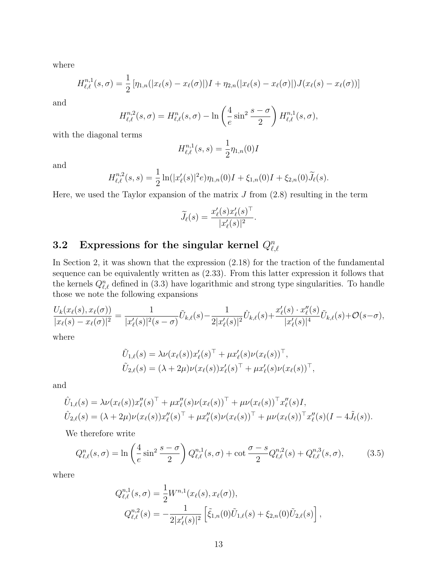where

$$
H_{\ell,\ell}^{n,1}(s,\sigma) = \frac{1}{2} [\eta_{1,n}(|x_{\ell}(s) - x_{\ell}(\sigma)|)I + \eta_{2,n}(|x_{\ell}(s) - x_{\ell}(\sigma)|)J(x_{\ell}(s) - x_{\ell}(\sigma))]
$$

and

$$
H_{\ell,\ell}^{n,2}(s,\sigma) = H_{\ell,\ell}^n(s,\sigma) - \ln\left(\frac{4}{e}\sin^2\frac{s-\sigma}{2}\right)H_{\ell,\ell}^{n,1}(s,\sigma),
$$

with the diagonal terms

$$
H_{\ell,\ell}^{n,1}(s,s) = \frac{1}{2} \eta_{1,n}(0) I
$$

and

$$
H_{\ell,\ell}^{n,2}(s,s) = \frac{1}{2}\ln(|x'_{\ell}(s)|^2 e)\eta_{1,n}(0)I + \xi_{1,n}(0)I + \xi_{2,n}(0)\widetilde{J}_{\ell}(s).
$$

Here, we used the Taylor expansion of the matrix  $J$  from  $(2.8)$  resulting in the term

$$
\widetilde{J}_{\ell}(s) = \frac{x_{\ell}'(s)x_{\ell}'(s)^{\top}}{|x_{\ell}'(s)|^2}.
$$

## ${\bf 3.2} \quad {\bf Expressions \ for \ the \ singular \ kernel \ } Q^n_{\ell,\ell}$

In Section [2,](#page-3-4) it was shown that the expression [\(2.18\)](#page-6-4) for the traction of the fundamental sequence can be equivalently written as [\(2.33\)](#page-10-0). From this latter expression it follows that the kernels  $Q_{\ell,\ell}^n$  defined in [\(3.3\)](#page-11-2) have logarithmic and strong type singularities. To handle those we note the following expansions

$$
\frac{U_k(x_\ell(s), x_\ell(\sigma))}{|x_\ell(s) - x_\ell(\sigma)|^2} = \frac{1}{|x'_\ell(s)|^2(s-\sigma)} \tilde{U}_{k,\ell}(s) - \frac{1}{2|x'_\ell(s)|^2} \tilde{U}_{k,\ell}(s) + \frac{x'_\ell(s) \cdot x''_\ell(s)}{|x'_\ell(s)|^4} \tilde{U}_{k,\ell}(s) + \mathcal{O}(s-\sigma),
$$
where

where

$$
\tilde{U}_{1,\ell}(s) = \lambda \nu(x_{\ell}(s))x_{\ell}'(s)^{\top} + \mu x_{\ell}'(s) \nu(x_{\ell}(s))^{\top}, \n\tilde{U}_{2,\ell}(s) = (\lambda + 2\mu)\nu(x_{\ell}(s))x_{\ell}'(s)^{\top} + \mu x_{\ell}'(s)\nu(x_{\ell}(s))^{\top},
$$

and

$$
\hat{U}_{1,\ell}(s) = \lambda \nu(x_{\ell}(s))x_{\ell}''(s)^{\top} + \mu x_{\ell}''(s)\nu(x_{\ell}(s))^{\top} + \mu \nu(x_{\ell}(s))^{\top} x_{\ell}''(s)I,
$$
\n
$$
\hat{U}_{2,\ell}(s) = (\lambda + 2\mu)\nu(x_{\ell}(s))x_{\ell}''(s)^{\top} + \mu x_{\ell}''(s)\nu(x_{\ell}(s))^{\top} + \mu \nu(x_{\ell}(s))^{\top} x_{\ell}''(s)(I - 4\tilde{J}_{\ell}(s)).
$$

We therefore write

<span id="page-12-0"></span>
$$
Q_{\ell,\ell}^n(s,\sigma) = \ln\left(\frac{4}{e}\sin^2\frac{s-\sigma}{2}\right)Q_{\ell,\ell}^{n,1}(s,\sigma) + \cot\frac{\sigma-s}{2}Q_{\ell,\ell}^{n,2}(s) + Q_{\ell,\ell}^{n,3}(s,\sigma),\tag{3.5}
$$

where

$$
Q_{\ell,\ell}^{n,1}(s,\sigma) = \frac{1}{2} W^{n,1}(x_{\ell}(s), x_{\ell}(\sigma)),
$$
  
\n
$$
Q_{\ell,\ell}^{n,2}(s) = -\frac{1}{2|x'_{\ell}(s)|^2} \left[ \tilde{\xi}_{1,n}(0)\tilde{U}_{1,\ell}(s) + \xi_{2,n}(0)\tilde{U}_{2,\ell}(s) \right],
$$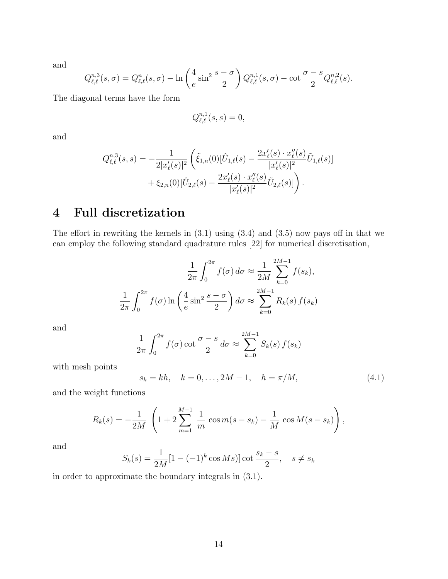and

$$
Q_{\ell,\ell}^{n,3}(s,\sigma) = Q_{\ell,\ell}^n(s,\sigma) - \ln\left(\frac{4}{e}\sin^2\frac{s-\sigma}{2}\right)Q_{\ell,\ell}^{n,1}(s,\sigma) - \cot\frac{\sigma-s}{2}Q_{\ell,\ell}^{n,2}(s).
$$

The diagonal terms have the form

$$
Q_{\ell,\ell}^{n,1}(s,s) = 0,
$$

and

$$
Q_{\ell,\ell}^{n,3}(s,s) = -\frac{1}{2|x'_{\ell}(s)|^2} \left( \tilde{\xi}_{1,n}(0) [\hat{U}_{1,\ell}(s) - \frac{2x'_{\ell}(s) \cdot x''_{\ell}(s)}{|x'_{\ell}(s)|^2} \tilde{U}_{1,\ell}(s)] + \xi_{2,n}(0) [\hat{U}_{2,\ell}(s) - \frac{2x'_{\ell}(s) \cdot x''_{\ell}(s)}{|x'_{\ell}(s)|^2} \tilde{U}_{2,\ell}(s)] \right).
$$

### 4 Full discretization

The effort in rewriting the kernels in  $(3.1)$  using  $(3.4)$  and  $(3.5)$  now pays off in that we can employ the following standard quadrature rules [\[22\]](#page-25-5) for numerical discretisation,

$$
\frac{1}{2\pi} \int_0^{2\pi} f(\sigma) d\sigma \approx \frac{1}{2M} \sum_{k=0}^{2M-1} f(s_k),
$$
  

$$
\frac{1}{2\pi} \int_0^{2\pi} f(\sigma) \ln\left(\frac{4}{e} \sin^2 \frac{s-\sigma}{2}\right) d\sigma \approx \sum_{k=0}^{2M-1} R_k(s) f(s_k)
$$

and

$$
\frac{1}{2\pi} \int_0^{2\pi} f(\sigma) \cot \frac{\sigma - s}{2} d\sigma \approx \sum_{k=0}^{2M-1} S_k(s) f(s_k)
$$

with mesh points

<span id="page-13-0"></span>
$$
s_k = kh, \quad k = 0, \dots, 2M - 1, \quad h = \pi/M, \tag{4.1}
$$

and the weight functions

$$
R_k(s) = -\frac{1}{2M} \left( 1 + 2 \sum_{m=1}^{M-1} \frac{1}{m} \cos m(s - s_k) - \frac{1}{M} \cos M(s - s_k) \right),
$$

and

$$
S_k(s) = \frac{1}{2M} [1 - (-1)^k \cos Ms)] \cot \frac{s_k - s}{2}, \quad s \neq s_k
$$

in order to approximate the boundary integrals in [\(3.1\)](#page-11-0).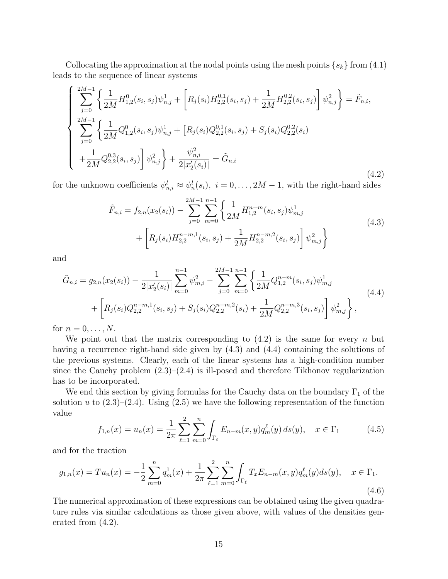Collocating the approximation at the nodal points using the mesh points  $\{s_k\}$  from  $(4.1)$ leads to the sequence of linear systems

<span id="page-14-0"></span>
$$
\begin{cases} \sum_{j=0}^{2M-1} \left\{ \frac{1}{2M} H_{1,2}^{0}(s_{i}, s_{j}) \psi_{n,j}^{1} + \left[ R_{j}(s_{i}) H_{2,2}^{0,1}(s_{i}, s_{j}) + \frac{1}{2M} H_{2,2}^{0,2}(s_{i}, s_{j}) \right] \psi_{n,j}^{2} \right\} = \tilde{F}_{n,i}, \\ \sum_{j=0}^{2M-1} \left\{ \frac{1}{2M} Q_{1,2}^{0}(s_{i}, s_{j}) \psi_{n,j}^{1} + \left[ R_{j}(s_{i}) Q_{2,2}^{0,1}(s_{i}, s_{j}) + S_{j}(s_{i}) Q_{2,2}^{0,2}(s_{i}) \right] \right. \\ \left. + \frac{1}{2M} Q_{2,2}^{0,3}(s_{i}, s_{j}) \right] \psi_{n,j}^{2} \right\} + \frac{\psi_{n,i}^{2}}{2|x_{2}'(s_{i})|} = \tilde{G}_{n,i} \end{cases} \tag{4.2}
$$

<span id="page-14-1"></span>for the unknown coefficients  $\psi_{n,i}^l \approx \psi_n^l(s_i), i = 0, \ldots, 2M-1$ , with the right-hand sides

$$
\tilde{F}_{n,i} = f_{2,n}(x_2(s_i)) - \sum_{j=0}^{2M-1} \sum_{m=0}^{n-1} \left\{ \frac{1}{2M} H_{1,2}^{n-m}(s_i, s_j) \psi_{m,j}^1 + \left[ R_j(s_i) H_{2,2}^{n-m,1}(s_i, s_j) + \frac{1}{2M} H_{2,2}^{n-m,2}(s_i, s_j) \right] \psi_{m,j}^2 \right\}
$$
\n(4.3)

and

<span id="page-14-2"></span>
$$
\tilde{G}_{n,i} = g_{2,n}(x_2(s_i)) - \frac{1}{2|x'_2(s_i)|} \sum_{m=0}^{n-1} \psi_{m,i}^2 - \sum_{j=0}^{2M-1} \sum_{m=0}^{n-1} \left\{ \frac{1}{2M} Q_{1,2}^{n-m}(s_i, s_j) \psi_{m,j}^1 + \left[ R_j(s_i) Q_{2,2}^{n-m,1}(s_i, s_j) + S_j(s_i) Q_{2,2}^{n-m,2}(s_i) + \frac{1}{2M} Q_{2,2}^{n-m,3}(s_i, s_j) \right] \psi_{m,j}^2 \right\},
$$
\n(4.4)

for  $n = 0, \ldots, N$ .

We point out that the matrix corresponding to  $(4.2)$  is the same for every n but having a recurrence right-hand side given by [\(4.3\)](#page-14-1) and [\(4.4\)](#page-14-2) containing the solutions of the previous systems. Clearly, each of the linear systems has a high-condition number since the Cauchy problem  $(2.3)$ – $(2.4)$  is ill-posed and therefore Tikhonov regularization has to be incorporated.

We end this section by giving formulas for the Cauchy data on the boundary  $\Gamma_1$  of the solution u to  $(2.3)$ – $(2.4)$ . Using  $(2.5)$  we have the following representation of the function value

<span id="page-14-3"></span>
$$
f_{1,n}(x) = u_n(x) = \frac{1}{2\pi} \sum_{\ell=1}^2 \sum_{m=0}^n \int_{\Gamma_\ell} E_{n-m}(x, y) q_m^{\ell}(y) ds(y), \quad x \in \Gamma_1
$$
 (4.5)

and for the traction

<span id="page-14-4"></span>
$$
g_{1,n}(x) = Tu_n(x) = -\frac{1}{2} \sum_{m=0}^n q_m^1(x) + \frac{1}{2\pi} \sum_{\ell=1}^n \sum_{m=0}^n \int_{\Gamma_\ell} T_x E_{n-m}(x, y) q_m^{\ell}(y) ds(y), \quad x \in \Gamma_1.
$$
\n(4.6)

The numerical approximation of these expressions can be obtained using the given quadrature rules via similar calculations as those given above, with values of the densities generated from [\(4.2\)](#page-14-0).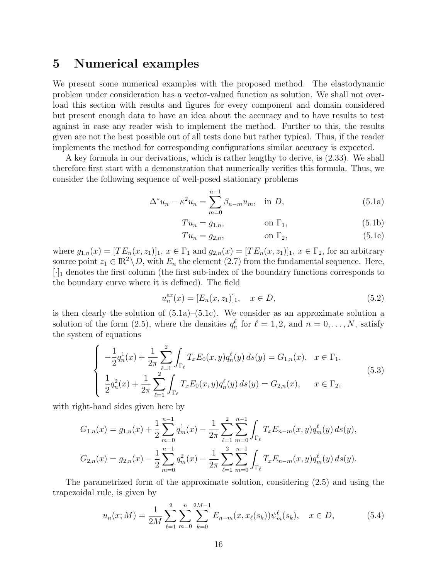### 5 Numerical examples

We present some numerical examples with the proposed method. The elastodynamic problem under consideration has a vector-valued function as solution. We shall not overload this section with results and figures for every component and domain considered but present enough data to have an idea about the accuracy and to have results to test against in case any reader wish to implement the method. Further to this, the results given are not the best possible out of all tests done but rather typical. Thus, if the reader implements the method for corresponding configurations similar accuracy is expected.

A key formula in our derivations, which is rather lengthy to derive, is [\(2.33\)](#page-10-0). We shall therefore first start with a demonstration that numerically verifies this formula. Thus, we consider the following sequence of well-posed stationary problems

$$
\Delta^* u_n - \kappa^2 u_n = \sum_{m=0}^{n-1} \beta_{n-m} u_m, \text{ in } D,
$$
 (5.1a)

<span id="page-15-0"></span>
$$
Tu_n = g_{1,n}, \qquad \text{on } \Gamma_1,\tag{5.1b}
$$

<span id="page-15-1"></span>
$$
Tu_n = g_{2,n}, \qquad \text{on } \Gamma_2,\tag{5.1c}
$$

where  $g_{1,n}(x) = [TE_n(x, z_1)]_1, x \in \Gamma_1$  and  $g_{2,n}(x) = [TE_n(x, z_1)]_1, x \in \Gamma_2$ , for an arbitrary source point  $z_1 \in \mathbb{R}^2 \setminus D$ , with  $E_n$  the element [\(2.7\)](#page-5-4) from the fundamental sequence. Here,  $[\cdot]_1$  denotes the first column (the first sub-index of the boundary functions corresponds to the boundary curve where it is defined). The field

<span id="page-15-3"></span>
$$
u_n^{ex}(x) = [E_n(x, z_1)]_1, \quad x \in D,
$$
\n(5.2)

is then clearly the solution of  $(5.1a)$ – $(5.1c)$ . We consider as an approximate solution a solution of the form [\(2.5\)](#page-4-0), where the densities  $q_n^{\ell}$  for  $\ell = 1, 2$ , and  $n = 0, ..., N$ , satisfy the system of equations

<span id="page-15-2"></span>
$$
\begin{cases}\n-\frac{1}{2}q_n^1(x) + \frac{1}{2\pi} \sum_{\ell=1}^2 \int_{\Gamma_\ell} T_x E_0(x, y) q_n^{\ell}(y) ds(y) = G_{1,n}(x), & x \in \Gamma_1, \\
\frac{1}{2}q_n^2(x) + \frac{1}{2\pi} \sum_{\ell=1}^2 \int_{\Gamma_\ell} T_x E_0(x, y) q_n^{\ell}(y) ds(y) = G_{2,n}(x), & x \in \Gamma_2,\n\end{cases}
$$
\n(5.3)

with right-hand sides given here by

$$
G_{1,n}(x) = g_{1,n}(x) + \frac{1}{2} \sum_{m=0}^{n-1} q_m^1(x) - \frac{1}{2\pi} \sum_{\ell=1}^2 \sum_{m=0}^{n-1} \int_{\Gamma_{\ell}} T_x E_{n-m}(x, y) q_m^{\ell}(y) ds(y),
$$
  

$$
G_{2,n}(x) = g_{2,n}(x) - \frac{1}{2} \sum_{m=0}^{n-1} q_m^2(x) - \frac{1}{2\pi} \sum_{\ell=1}^2 \sum_{m=0}^{n-1} \int_{\Gamma_{\ell}} T_x E_{n-m}(x, y) q_m^{\ell}(y) ds(y).
$$

The parametrized form of the approximate solution, considering [\(2.5\)](#page-4-0) and using the trapezoidal rule, is given by

<span id="page-15-4"></span>
$$
u_n(x;M) = \frac{1}{2M} \sum_{\ell=1}^2 \sum_{m=0}^n \sum_{k=0}^{2M-1} E_{n-m}(x,x_\ell(s_k)) \psi_m^{\ell}(s_k), \quad x \in D,
$$
 (5.4)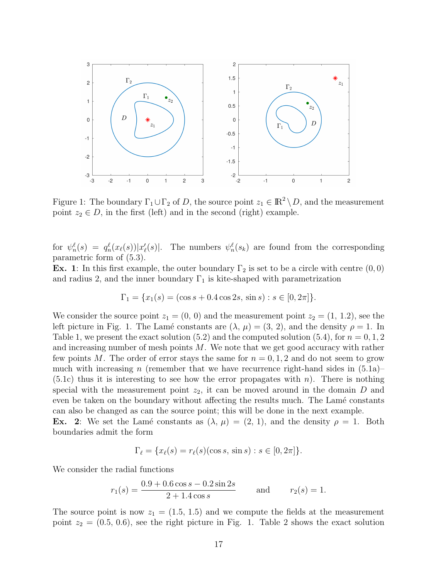

<span id="page-16-0"></span>Figure 1: The boundary  $\Gamma_1 \cup \Gamma_2$  of D, the source point  $z_1 \in \mathbb{R}^2 \setminus D$ , and the measurement point  $z_2 \in D$ , in the first (left) and in the second (right) example.

for  $\psi_n^{\ell}(s) = q_n^{\ell}(x_{\ell}(s)) |x'_{\ell}(s)|$ . The numbers  $\psi_n^{\ell}(s_k)$  are found from the corresponding parametric form of [\(5.3\)](#page-15-2).

**Ex.** 1: In this first example, the outer boundary  $\Gamma_2$  is set to be a circle with centre  $(0,0)$ and radius 2, and the inner boundary  $\Gamma_1$  is kite-shaped with parametrization

$$
\Gamma_1 = \{x_1(s) = (\cos s + 0.4 \cos 2s, \sin s) : s \in [0, 2\pi]\}.
$$

We consider the source point  $z_1 = (0, 0)$  and the measurement point  $z_2 = (1, 1.2)$ , see the left picture in Fig. [1.](#page-16-0) The Lamé constants are  $(\lambda, \mu) = (3, 2)$ , and the density  $\rho = 1$ . In Table [1,](#page-17-0) we present the exact solution  $(5.2)$  and the computed solution  $(5.4)$ , for  $n = 0, 1, 2$ and increasing number of mesh points M. We note that we get good accuracy with rather few points M. The order of error stays the same for  $n = 0, 1, 2$  and do not seem to grow much with increasing n (remember that we have recurrence right-hand sides in  $(5.1a)$ - $(5.1c)$  thus it is interesting to see how the error propagates with n). There is nothing special with the measurement point  $z_2$ , it can be moved around in the domain D and even be taken on the boundary without affecting the results much. The Lamé constants can also be changed as can the source point; this will be done in the next example.

Ex. 2: We set the Lamé constants as  $(\lambda, \mu) = (2, 1)$ , and the density  $\rho = 1$ . Both boundaries admit the form

$$
\Gamma_{\ell} = \{ x_{\ell}(s) = r_{\ell}(s) (\cos s, \, \sin s) : s \in [0, 2\pi] \}.
$$

We consider the radial functions

$$
r_1(s) = \frac{0.9 + 0.6 \cos s - 0.2 \sin 2s}{2 + 1.4 \cos s}
$$
 and  $r_2(s) = 1$ .

The source point is now  $z_1 = (1.5, 1.5)$  and we compute the fields at the measurement point  $z_2 = (0.5, 0.6)$  $z_2 = (0.5, 0.6)$  $z_2 = (0.5, 0.6)$ , see the right picture in Fig. [1.](#page-16-0) Table 2 shows the exact solution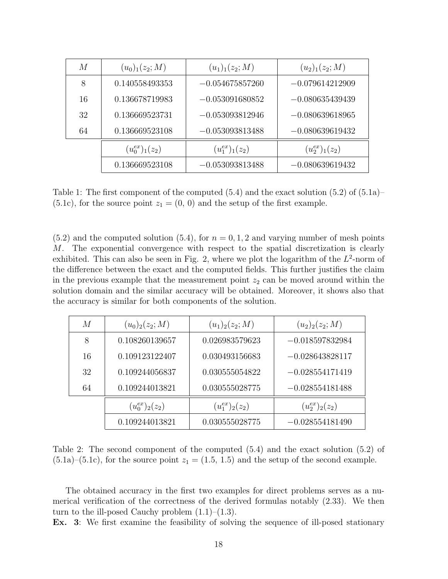| M  | $(u_0)_1(z_2;M)$    | $(u_1)_1(z_2;M)$    | $(u_2)_1(z_2;M)$    |
|----|---------------------|---------------------|---------------------|
| 8  | 0.140558493353      | $-0.054675857260$   | $-0.079614212909$   |
| 16 | 0.136678719983      | $-0.053091680852$   | $-0.080635439439$   |
| 32 | 0.136669523731      | $-0.053093812946$   | $-0.080639618965$   |
| 64 | 0.136669523108      | $-0.053093813488$   | $-0.080639619432$   |
|    | $(u_0^{ex})_1(z_2)$ | $(u_1^{ex})_1(z_2)$ | $(u_2^{ex})_1(z_2)$ |
|    | 0.136669523108      | $-0.053093813488$   | $-0.080639619432$   |

<span id="page-17-0"></span>Table 1: The first component of the computed  $(5.4)$  and the exact solution  $(5.2)$  of  $(5.1a)$  $(5.1c)$ , for the source point  $z_1 = (0, 0)$  and the setup of the first example.

 $(5.2)$  and the computed solution  $(5.4)$ , for  $n = 0, 1, 2$  and varying number of mesh points M. The exponential convergence with respect to the spatial discretization is clearly exhibited. This can also be seen in Fig. [2,](#page-18-0) where we plot the logarithm of the  $L^2$ -norm of the difference between the exact and the computed fields. This further justifies the claim in the previous example that the measurement point  $z_2$  can be moved around within the solution domain and the similar accuracy will be obtained. Moreover, it shows also that the accuracy is similar for both components of the solution.

| M  | $(u_0)_2(z_2; M)$   | $(u_1)_2(z_2; M)$   | $(u_2)_2(z_2; M)$   |
|----|---------------------|---------------------|---------------------|
| 8  | 0.108260139657      | 0.026983579623      | $-0.018597832984$   |
| 16 | 0.109123122407      | 0.030493156683      | $-0.028643828117$   |
| 32 | 0.109244056837      | 0.030555054822      | $-0.028554171419$   |
| 64 | 0.109244013821      | 0.030555028775      | $-0.028554181488$   |
|    | $(u_0^{ex})_2(z_2)$ | $(u_1^{ex})_2(z_2)$ | $(u_2^{ex})_2(z_2)$ |
|    | 0.109244013821      | 0.030555028775      | $-0.028554181490$   |

<span id="page-17-1"></span>Table 2: The second component of the computed [\(5.4\)](#page-15-4) and the exact solution [\(5.2\)](#page-15-3) of  $(5.1a)$ – $(5.1c)$ , for the source point  $z_1 = (1.5, 1.5)$  and the setup of the second example.

The obtained accuracy in the first two examples for direct problems serves as a numerical verification of the correctness of the derived formulas notably [\(2.33\)](#page-10-0). We then turn to the ill-posed Cauchy problem  $(1.1)$ – $(1.3)$ .

Ex. 3: We first examine the feasibility of solving the sequence of ill-posed stationary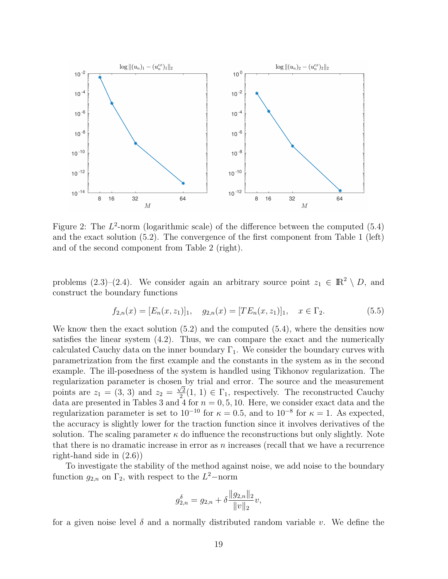

<span id="page-18-0"></span>Figure 2: The  $L^2$ -norm (logarithmic scale) of the difference between the computed  $(5.4)$ and the exact solution [\(5.2\)](#page-15-3). The convergence of the first component from Table [1](#page-17-0) (left) and of the second component from Table [2](#page-17-1) (right).

problems  $(2.3)$ – $(2.4)$ . We consider again an arbitrary source point  $z_1 \in \mathbb{R}^2 \setminus D$ , and construct the boundary functions

<span id="page-18-1"></span>
$$
f_{2,n}(x) = [E_n(x, z_1)]_1, \quad g_{2,n}(x) = [TE_n(x, z_1)]_1, \quad x \in \Gamma_2.
$$
 (5.5)

We know then the exact solution  $(5.2)$  and the computed  $(5.4)$ , where the densities now satisfies the linear system [\(4.2\)](#page-14-0). Thus, we can compare the exact and the numerically calculated Cauchy data on the inner boundary  $\Gamma_1$ . We consider the boundary curves with parametrization from the first example and the constants in the system as in the second example. The ill-posedness of the system is handled using Tikhonov regularization. The regularization parameter is chosen by trial and error. The source and the measurement points are  $z_1 = (3, 3)$  and  $z_2 = \frac{\sqrt{2}}{2}$  $\frac{\sqrt{2}}{2}(1, 1) \in \Gamma_1$ , respectively. The reconstructed Cauchy data are presented in Tables [3](#page-19-0) and [4](#page-19-1) for  $n = 0, 5, 10$ . Here, we consider exact data and the regularization parameter is set to  $10^{-10}$  for  $\kappa = 0.5$ , and to  $10^{-8}$  for  $\kappa = 1$ . As expected, the accuracy is slightly lower for the traction function since it involves derivatives of the solution. The scaling parameter  $\kappa$  do influence the reconstructions but only slightly. Note that there is no dramatic increase in error as  $n$  increases (recall that we have a recurrence right-hand side in [\(2.6\)](#page-4-1))

To investigate the stability of the method against noise, we add noise to the boundary function  $g_{2,n}$  on  $\Gamma_2$ , with respect to the  $L^2$ -norm

$$
g_{2,n}^{\delta} = g_{2,n} + \delta \frac{\|g_{2,n}\|_2}{\|v\|_2} v,
$$

for a given noise level  $\delta$  and a normally distributed random variable v. We define the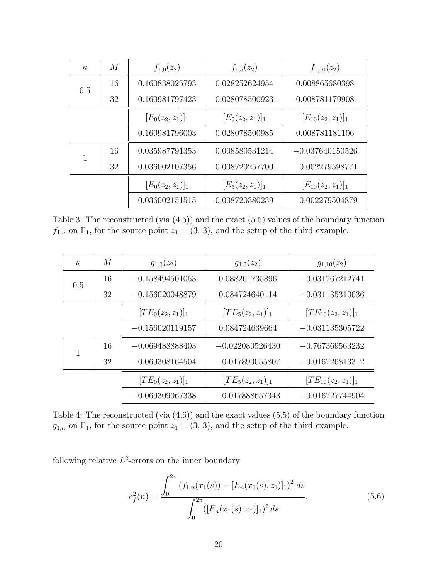| $\kappa$ | M  | $f_{1,0}(z_2)$      | $f_{1,5}(z_2)$      | $f_{1,10}(z_2)$        |  |
|----------|----|---------------------|---------------------|------------------------|--|
| 0.5      | 16 | 0.160838025793      | 0.028252624954      | 0.008865680398         |  |
|          | 32 | 0.160981797423      | 0.028078500923      | 0.008781179908         |  |
|          |    | $[E_0(z_2, z_1)]_1$ | $[E_5(z_2, z_1)]_1$ | $[E_{10}(z_2, z_1)]_1$ |  |
|          |    | 0.160981796003      | 0.028078500985      | 0.008781181106         |  |
|          | 16 | 0.035987791353      | 0.008580531214      | $-0.037640150526$      |  |
|          | 32 | 0.036002107356      | 0.008720257700      | 0.002279598771         |  |
|          |    | $[E_0(z_2, z_1)]_1$ | $[E_5(z_2, z_1)]_1$ | $[E_{10}(z_2, z_1)]_1$ |  |
|          |    | 0.036002151515      | 0.008720380239      | 0.002279504879         |  |

<span id="page-19-0"></span>Table 3: The reconstructed (via [\(4.5\)](#page-14-3)) and the exact [\(5.5\)](#page-18-1) values of the boundary function  $f_{1,n}$  on  $\Gamma_1$ , for the source point  $z_1 = (3, 3)$ , and the setup of the third example.

| $\kappa$ | M  | $g_{1,0}(z_2)$       | $g_{1,5}(z_2)$       | $g_{1,10}(z_2)$        |
|----------|----|----------------------|----------------------|------------------------|
| 0.5      | 16 | $-0.158494501053$    | 0.088261735896       | $-0.031767212741$      |
|          | 32 | $-0.156020048879$    | 0.084724640114       | $-0.031135310036$      |
|          |    | $[TE_0(z_2, z_1)]_1$ | $[TE_5(z_2, z_1)]_1$ | $[TE_{10}(z_2,z_1)]_1$ |
|          |    | $-0.156020119157$    | 0.084724639664       | $-0.031135305722$      |
|          | 16 | $-0.069488888403$    | $-0.022080526430$    | $-0.767369563232$      |
|          | 32 | $-0.069308164504$    | $-0.017890055807$    | $-0.016726813312$      |
|          |    | $[TE_0(z_2, z_1)]_1$ | $[TE_5(z_2, z_1)]_1$ | $[TE_{10}(z_2,z_1)]_1$ |
|          |    | $-0.069309067338$    | $-0.017888657343$    | $-0.016727744904$      |

<span id="page-19-1"></span>Table 4: The reconstructed (via [\(4.6\)](#page-14-4)) and the exact values [\(5.5\)](#page-18-1) of the boundary function  $g_{1,n}$  on  $\Gamma_1$ , for the source point  $z_1 = (3, 3)$ , and the setup of the third example.

following relative  $L^2$ -errors on the inner boundary

<span id="page-19-2"></span>
$$
e_f^2(n) = \frac{\int_0^{2\pi} (f_{1,n}(x_1(s)) - [E_n(x_1(s), z_1)]_1)^2 ds}{\int_0^{2\pi} ([E_n(x_1(s), z_1)]_1)^2 ds},
$$
\n(5.6)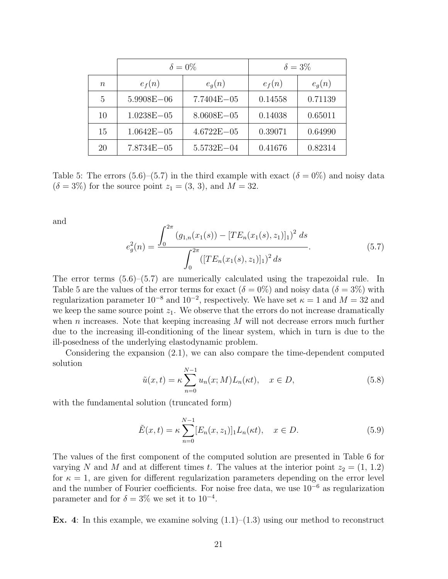|           | $\delta = 0\%$ |                | $\delta = 3\%$ |          |
|-----------|----------------|----------------|----------------|----------|
| $n_{\rm}$ | $e_f(n)$       | $e_q(n)$       | $e_f(n)$       | $e_q(n)$ |
| 5         | $5.9908E - 06$ | $7.7404E - 05$ | 0.14558        | 0.71139  |
| 10        | $1.0238E - 05$ | $8.0608E - 05$ | 0.14038        | 0.65011  |
| 15        | $1.0642E - 05$ | $4.6722E - 05$ | 0.39071        | 0.64990  |
| 20        | 7.8734E-05     | $5.5732E - 04$ | 0.41676        | 0.82314  |

<span id="page-20-1"></span>Table 5: The errors  $(5.6)$ – $(5.7)$  in the third example with exact  $(\delta = 0\%)$  and noisy data  $(\delta = 3\%)$  for the source point  $z_1 = (3, 3)$ , and  $M = 32$ .

and

<span id="page-20-0"></span>
$$
e_g^2(n) = \frac{\int_0^{2\pi} (g_{1,n}(x_1(s)) - [TE_n(x_1(s), z_1)]_1)^2 ds}{\int_0^{2\pi} ([TE_n(x_1(s), z_1)]_1)^2 ds}.
$$
 (5.7)

The error terms [\(5.6\)](#page-19-2)–[\(5.7\)](#page-20-0) are numerically calculated using the trapezoidal rule. In Table [5](#page-20-1) are the values of the error terms for exact  $(\delta = 0\%)$  and noisy data  $(\delta = 3\%)$  with regularization parameter  $10^{-8}$  and  $10^{-2}$ , respectively. We have set  $\kappa = 1$  and  $M = 32$  and we keep the same source point  $z_1$ . We observe that the errors do not increase dramatically when n increases. Note that keeping increasing  $M$  will not decrease errors much further due to the increasing ill-conditioning of the linear system, which in turn is due to the ill-posedness of the underlying elastodynamic problem.

Considering the expansion [\(2.1\)](#page-3-1), we can also compare the time-dependent computed solution

<span id="page-20-2"></span>
$$
\tilde{u}(x,t) = \kappa \sum_{n=0}^{N-1} u_n(x;M) L_n(\kappa t), \quad x \in D,
$$
\n(5.8)

with the fundamental solution (truncated form)

<span id="page-20-3"></span>
$$
\tilde{E}(x,t) = \kappa \sum_{n=0}^{N-1} [E_n(x,z_1)]_1 L_n(\kappa t), \quad x \in D.
$$
\n(5.9)

The values of the first component of the computed solution are presented in Table [6](#page-21-0) for varying N and M and at different times t. The values at the interior point  $z_2 = (1, 1.2)$ for  $\kappa = 1$ , are given for different regularization parameters depending on the error level and the number of Fourier coefficients. For noise free data, we use  $10^{-6}$  as regularization parameter and for  $\delta = 3\%$  we set it to  $10^{-4}$ .

**Ex.** 4: In this example, we examine solving  $(1.1)$ – $(1.3)$  using our method to reconstruct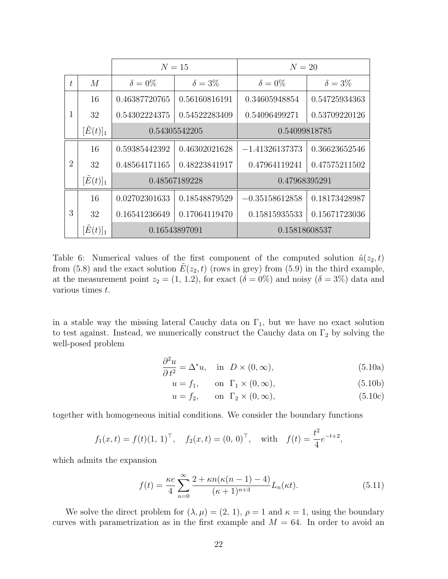|                |                    | $N=15$         |                | $N=20$           |                |
|----------------|--------------------|----------------|----------------|------------------|----------------|
| t              | M                  | $\delta = 0\%$ | $\delta = 3\%$ | $\delta = 0\%$   | $\delta = 3\%$ |
|                | 16                 | 0.46387720765  | 0.56160816191  | 0.34605948854    | 0.54725934363  |
| 1              | 32                 | 0.54302224375  | 0.54522283409  | 0.54096499271    | 0.53709220126  |
|                | $[\tilde{E}(t)]_1$ |                | 0.54305542205  | 0.54099818785    |                |
|                | 16                 | 0.59385442392  | 0.46302021628  | $-1.41326137373$ | 0.36623652546  |
| $\overline{2}$ | 32                 | 0.48564171165  | 0.48223841917  | 0.47964119241    | 0.47575211502  |
|                | $[\tilde{E}(t)]_1$ |                | 0.48567189228  | 0.47968395291    |                |
|                | 16                 | 0.02702301633  | 0.18548879529  | $-0.35158612858$ | 0.18173428987  |
| 3              | 32                 | 0.16541236649  | 0.17064119470  | 0.15815935533    | 0.15671723036  |
|                | $[E(t)]_1$         |                | 0.16543897091  | 0.15818608537    |                |

<span id="page-21-0"></span>Table 6: Numerical values of the first component of the computed solution  $\tilde{u}(z_2, t)$ from [\(5.8\)](#page-20-2) and the exact solution  $E(z_2, t)$  (rows in grey) from [\(5.9\)](#page-20-3) in the third example, at the measurement point  $z_2 = (1, 1.2)$ , for exact  $(\delta = 0\%)$  and noisy  $(\delta = 3\%)$  data and various times t.

in a stable way the missing lateral Cauchy data on  $\Gamma_1$ , but we have no exact solution to test against. Instead, we numerically construct the Cauchy data on  $\Gamma_2$  by solving the well-posed problem

$$
\frac{\partial^2 u}{\partial t^2} = \Delta^* u, \quad \text{in} \quad D \times (0, \infty), \tag{5.10a}
$$

<span id="page-21-1"></span>
$$
u = f_1, \qquad \text{on } \Gamma_1 \times (0, \infty), \tag{5.10b}
$$

<span id="page-21-2"></span>
$$
u = f_2, \qquad \text{on} \quad \Gamma_2 \times (0, \infty), \tag{5.10c}
$$

together with homogeneous initial conditions. We consider the boundary functions

$$
f_1(x,t) = f(t)(1, 1)^{\top}, \quad f_2(x,t) = (0, 0)^{\top}, \quad \text{with} \quad f(t) = \frac{t^2}{4}e^{-t+2},
$$

which admits the expansion

<span id="page-21-3"></span>
$$
f(t) = \frac{\kappa e}{4} \sum_{n=0}^{\infty} \frac{2 + \kappa n(\kappa(n-1) - 4)}{(\kappa + 1)^{n+3}} L_n(\kappa t).
$$
 (5.11)

We solve the direct problem for  $(\lambda, \mu) = (2, 1), \rho = 1$  and  $\kappa = 1$ , using the boundary curves with parametrization as in the first example and  $M = 64$ . In order to avoid an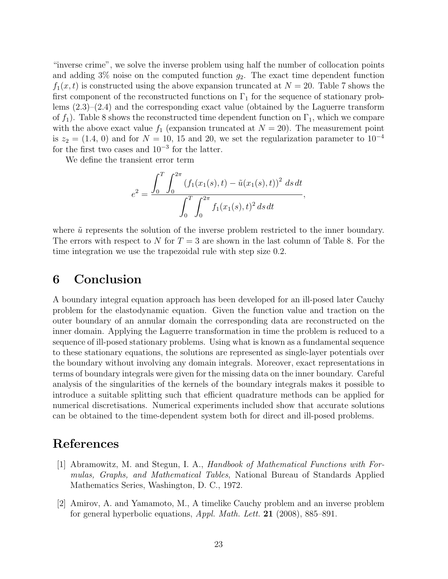"inverse crime", we solve the inverse problem using half the number of collocation points and adding  $3\%$  noise on the computed function  $g_2$ . The exact time dependent function  $f_1(x, t)$  is constructed using the above expansion truncated at  $N = 20$ . Table [7](#page-23-5) shows the first component of the reconstructed functions on  $\Gamma_1$  for the sequence of stationary problems  $(2.3)$ – $(2.4)$  and the corresponding exact value (obtained by the Laguerre transform of  $f_1$ ). Table [8](#page-23-6) shows the reconstructed time dependent function on  $\Gamma_1$ , which we compare with the above exact value  $f_1$  (expansion truncated at  $N = 20$ ). The measurement point is  $z_2 = (1.4, 0)$  and for  $N = 10, 15$  and 20, we set the regularization parameter to  $10^{-4}$ for the first two cases and  $10^{-3}$  for the latter.

We define the transient error term

$$
e^{2} = \frac{\int_{0}^{T} \int_{0}^{2\pi} (f_{1}(x_{1}(s), t) - \tilde{u}(x_{1}(s), t))^{2} ds dt}{\int_{0}^{T} \int_{0}^{2\pi} f_{1}(x_{1}(s), t)^{2} ds dt},
$$

where  $\tilde{u}$  represents the solution of the inverse problem restricted to the inner boundary. The errors with respect to N for  $T = 3$  are shown in the last column of Table [8.](#page-23-6) For the time integration we use the trapezoidal rule with step size 0.2.

### 6 Conclusion

A boundary integral equation approach has been developed for an ill-posed later Cauchy problem for the elastodynamic equation. Given the function value and traction on the outer boundary of an annular domain the corresponding data are reconstructed on the inner domain. Applying the Laguerre transformation in time the problem is reduced to a sequence of ill-posed stationary problems. Using what is known as a fundamental sequence to these stationary equations, the solutions are represented as single-layer potentials over the boundary without involving any domain integrals. Moreover, exact representations in terms of boundary integrals were given for the missing data on the inner boundary. Careful analysis of the singularities of the kernels of the boundary integrals makes it possible to introduce a suitable splitting such that efficient quadrature methods can be applied for numerical discretisations. Numerical experiments included show that accurate solutions can be obtained to the time-dependent system both for direct and ill-posed problems.

### References

- <span id="page-22-1"></span>[1] Abramowitz, M. and Stegun, I. A., Handbook of Mathematical Functions with Formulas, Graphs, and Mathematical Tables, National Bureau of Standards Applied Mathematics Series, Washington, D. C., 1972.
- <span id="page-22-0"></span>[2] Amirov, A. and Yamamoto, M., A timelike Cauchy problem and an inverse problem for general hyperbolic equations, *Appl. Math. Lett.* **21** (2008), 885–891.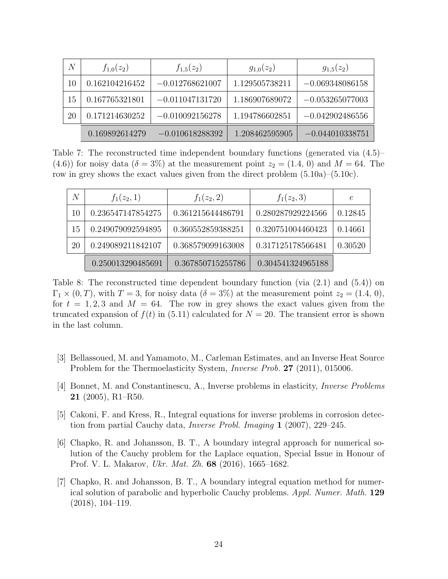| N  | $f_{1,0}(z_2)$ | $f_{1,5}(z_2)$    | $g_{1,0}(z_2)$ | $g_{1,5}(z_2)$    |
|----|----------------|-------------------|----------------|-------------------|
| 10 | 0.162104216452 | $-0.012768621007$ | 1.129505738211 | $-0.069348086158$ |
| 15 | 0.167765321801 | $-0.011047131720$ | 1.186907689072 | $-0.053265077003$ |
| 20 | 0.171214630252 | $-0.010092156278$ | 1.194786602851 | $-0.042902486556$ |
|    | 0.169892614279 | $-0.010618288392$ | 1.208462595905 | $-0.044010338751$ |

<span id="page-23-5"></span>Table 7: The reconstructed time independent boundary functions (generated via [\(4.5\)](#page-14-3)–  $(4.6)$ ) for noisy data  $(\delta = 3\%)$  at the measurement point  $z_2 = (1.4, 0)$  and  $M = 64$ . The row in grey shows the exact values given from the direct problem [\(5.10a\)](#page-21-1)–[\(5.10c\)](#page-21-2).

| N  | $f_1(z_2,1)$      | $f_1(z_2, 2)$     | $f_1(z_2,3)$      | $\epsilon$ |
|----|-------------------|-------------------|-------------------|------------|
| 10 | 0.236547147854275 | 0.361215644486791 | 0.280287929224566 | 0.12845    |
| 15 | 0.249079092594895 | 0.360552859388251 | 0.320751004460423 | 0.14661    |
| 20 | 0.249089211842107 | 0.368579099163008 | 0.317125178566481 | 0.30520    |
|    | 0.250013290485691 | 0.367850715255786 | 0.304541324965188 |            |

<span id="page-23-6"></span>Table 8: The reconstructed time dependent boundary function (via [\(2.1\)](#page-3-1) and [\(5.4\)](#page-15-4)) on  $\Gamma_1 \times (0,T)$ , with  $T = 3$ , for noisy data  $(\delta = 3\%)$  at the measurement point  $z_2 = (1.4, 0)$ , for  $t = 1, 2, 3$  and  $M = 64$ . The row in grey shows the exact values given from the truncated expansion of  $f(t)$  in [\(5.11\)](#page-21-3) calculated for  $N = 20$ . The transient error is shown in the last column.

- <span id="page-23-2"></span>[3] Bellassoued, M. and Yamamoto, M., Carleman Estimates, and an Inverse Heat Source Problem for the Thermoelasticity System, *Inverse Prob.* 27 (2011), 015006.
- <span id="page-23-1"></span>[4] Bonnet, M. and Constantinescu, A., Inverse problems in elasticity, Inverse Problems  $21$  (2005), R1–R50.
- <span id="page-23-4"></span>[5] Cakoni, F. and Kress, R., Integral equations for inverse problems in corrosion detection from partial Cauchy data, Inverse Probl. Imaging 1 (2007), 229–245.
- <span id="page-23-3"></span>[6] Chapko, R. and Johansson, B. T., A boundary integral approach for numerical solution of the Cauchy problem for the Laplace equation, Special Issue in Honour of Prof. V. L. Makarov, Ukr. Mat. Zh. 68 (2016), 1665–1682.
- <span id="page-23-0"></span>[7] Chapko, R. and Johansson, B. T., A boundary integral equation method for numerical solution of parabolic and hyperbolic Cauchy problems. Appl. Numer. Math. 129 (2018), 104–119.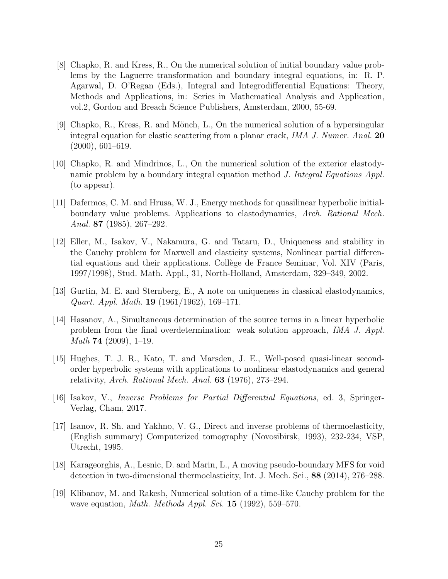- <span id="page-24-10"></span>[8] Chapko, R. and Kress, R., On the numerical solution of initial boundary value problems by the Laguerre transformation and boundary integral equations, in: R. P. Agarwal, D. O'Regan (Eds.), Integral and Integrodifferential Equations: Theory, Methods and Applications, in: Series in Mathematical Analysis and Application, vol.2, Gordon and Breach Science Publishers, Amsterdam, 2000, 55-69.
- <span id="page-24-11"></span>[9] Chapko, R., Kress, R. and Mönch, L., On the numerical solution of a hypersingular integral equation for elastic scattering from a planar crack, *IMA J. Numer. Anal.* 20 (2000), 601–619.
- <span id="page-24-9"></span>[10] Chapko, R. and Mindrinos, L., On the numerical solution of the exterior elastodynamic problem by a boundary integral equation method J. Integral Equations Appl. (to appear).
- <span id="page-24-1"></span>[11] Dafermos, C. M. and Hrusa, W. J., Energy methods for quasilinear hyperbolic initialboundary value problems. Applications to elastodynamics, Arch. Rational Mech. Anal. 87 (1985), 267–292.
- <span id="page-24-3"></span>[12] Eller, M., Isakov, V., Nakamura, G. and Tataru, D., Uniqueness and stability in the Cauchy problem for Maxwell and elasticity systems, Nonlinear partial differential equations and their applications. Collège de France Seminar, Vol. XIV (Paris, 1997/1998), Stud. Math. Appl., 31, North-Holland, Amsterdam, 329–349, 2002.
- <span id="page-24-2"></span>[13] Gurtin, M. E. and Sternberg, E., A note on uniqueness in classical elastodynamics, Quart. Appl. Math. 19 (1961/1962), 169–171.
- <span id="page-24-6"></span>[14] Hasanov, A., Simultaneous determination of the source terms in a linear hyperbolic problem from the final overdetermination: weak solution approach, IMA J. Appl. Math 74 (2009), 1–19.
- <span id="page-24-0"></span>[15] Hughes, T. J. R., Kato, T. and Marsden, J. E., Well-posed quasi-linear secondorder hyperbolic systems with applications to nonlinear elastodynamics and general relativity, Arch. Rational Mech. Anal.  $63$  (1976), 273–294.
- <span id="page-24-4"></span>[16] Isakov, V., Inverse Problems for Partial Differential Equations, ed. 3, Springer-Verlag, Cham, 2017.
- <span id="page-24-7"></span>[17] Isanov, R. Sh. and Yakhno, V. G., Direct and inverse problems of thermoelasticity, (English summary) Computerized tomography (Novosibirsk, 1993), 232-234, VSP, Utrecht, 1995.
- <span id="page-24-8"></span>[18] Karageorghis, A., Lesnic, D. and Marin, L., A moving pseudo-boundary MFS for void detection in two-dimensional thermoelasticity, Int. J. Mech. Sci., 88 (2014), 276–288.
- <span id="page-24-5"></span>[19] Klibanov, M. and Rakesh, Numerical solution of a time-like Cauchy problem for the wave equation, *Math. Methods Appl. Sci.* **15** (1992), 559–570.